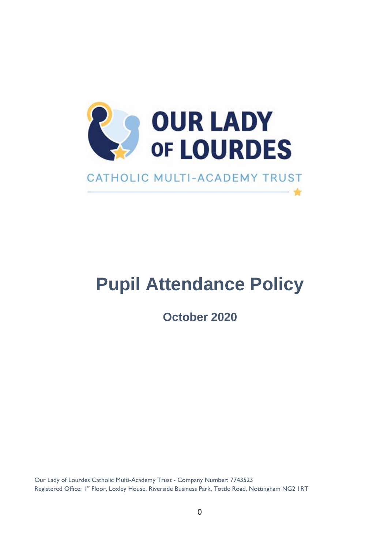

# **Pupil Attendance Policy**

**October 2020**

Our Lady of Lourdes Catholic Multi-Academy Trust - Company Number: 7743523 Registered Office: 1<sup>st</sup> Floor, Loxley House, Riverside Business Park, Tottle Road, Nottingham NG2 1RT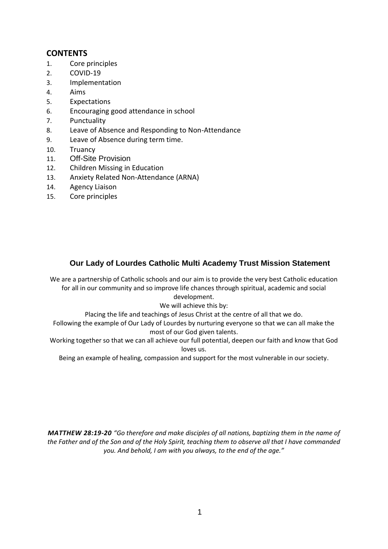## **CONTENTS**

- 1. Core principles
- 2. COVID-19
- 3. Implementation
- 4. Aims
- 5. Expectations
- 6. Encouraging good attendance in school
- 7. Punctuality
- 8. Leave of Absence and Responding to Non-Attendance
- 9. Leave of Absence during term time.
- 10. Truancy
- 11. Off-Site Provision
- 12. Children Missing in Education
- 13. Anxiety Related Non-Attendance (ARNA)
- 14. Agency Liaison
- 15. Core principles

#### **Our Lady of Lourdes Catholic Multi Academy Trust Mission Statement**

We are a partnership of Catholic schools and our aim is to provide the very best Catholic education for all in our community and so improve life chances through spiritual, academic and social development.

#### We will achieve this by:

Placing the life and teachings of Jesus Christ at the centre of all that we do.

Following the example of Our Lady of Lourdes by nurturing everyone so that we can all make the most of our God given talents.

Working together so that we can all achieve our full potential, deepen our faith and know that God loves us.

Being an example of healing, compassion and support for the most vulnerable in our society.

**MATTHEW 28:19-20** "Go therefore and make disciples of all nations, baptizing them in the name of *the Father and of the Son and of the Holy Spirit, teaching them to observe all that I have commanded you. And behold, I am with you always, to the end of the age."*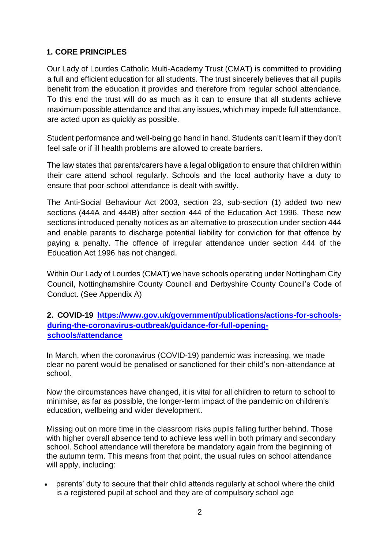# **1. CORE PRINCIPLES**

Our Lady of Lourdes Catholic Multi-Academy Trust (CMAT) is committed to providing a full and efficient education for all students. The trust sincerely believes that all pupils benefit from the education it provides and therefore from regular school attendance. To this end the trust will do as much as it can to ensure that all students achieve maximum possible attendance and that any issues, which may impede full attendance, are acted upon as quickly as possible.

Student performance and well-being go hand in hand. Students can't learn if they don't feel safe or if ill health problems are allowed to create barriers.

The law states that parents/carers have a legal obligation to ensure that children within their care attend school regularly. Schools and the local authority have a duty to ensure that poor school attendance is dealt with swiftly.

The Anti-Social Behaviour Act 2003, section 23, sub-section (1) added two new sections (444A and 444B) after section 444 of the Education Act 1996. These new sections introduced penalty notices as an alternative to prosecution under section 444 and enable parents to discharge potential liability for conviction for that offence by paying a penalty. The offence of irregular attendance under section 444 of the Education Act 1996 has not changed.

Within Our Lady of Lourdes (CMAT) we have schools operating under Nottingham City Council, Nottinghamshire County Council and Derbyshire County Council's Code of Conduct. (See Appendix A)

#### **2. COVID-19 [https://www.gov.uk/government/publications/actions-for-schools](https://www.gov.uk/government/publications/actions-for-schools-during-the-coronavirus-outbreak/guidance-for-full-opening-schools#attendance)[during-the-coronavirus-outbreak/guidance-for-full-opening](https://www.gov.uk/government/publications/actions-for-schools-during-the-coronavirus-outbreak/guidance-for-full-opening-schools#attendance)[schools#attendance](https://www.gov.uk/government/publications/actions-for-schools-during-the-coronavirus-outbreak/guidance-for-full-opening-schools#attendance)**

In March, when the coronavirus (COVID-19) pandemic was increasing, we made clear no parent would be penalised or sanctioned for their child's non-attendance at school.

Now the circumstances have changed, it is vital for all children to return to school to minimise, as far as possible, the longer-term impact of the pandemic on children's education, wellbeing and wider development.

Missing out on more time in the classroom risks pupils falling further behind. Those with higher overall absence tend to achieve less well in both primary and secondary school. School attendance will therefore be mandatory again from the beginning of the autumn term. This means from that point, the usual rules on school attendance will apply, including:

 parents' duty to secure that their child attends regularly at school where the child is a registered pupil at school and they are of compulsory school age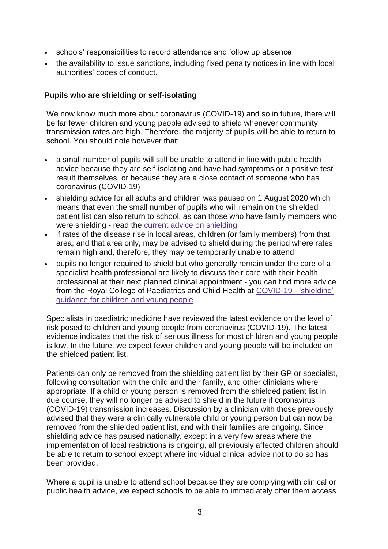- schools' responsibilities to record attendance and follow up absence
- the availability to issue sanctions, including fixed penalty notices in line with local authorities' codes of conduct.

#### **Pupils who are shielding or self-isolating**

We now know much more about coronavirus (COVID-19) and so in future, there will be far fewer children and young people advised to shield whenever community transmission rates are high. Therefore, the majority of pupils will be able to return to school. You should note however that:

- a small number of pupils will still be unable to attend in line with public health advice because they are self-isolating and have had symptoms or a positive test result themselves, or because they are a close contact of someone who has coronavirus (COVID-19)
- shielding advice for all adults and children was paused on 1 August 2020 which means that even the small number of pupils who will remain on the shielded patient list can also return to school, as can those who have family members who were shielding - read the current advice on [shielding](https://www.gov.uk/government/publications/guidance-on-shielding-and-protecting-extremely-vulnerable-persons-from-covid-19/guidance-on-shielding-and-protecting-extremely-vulnerable-persons-from-covid-19)
- if rates of the disease rise in local areas, children (or family members) from that area, and that area only, may be advised to shield during the period where rates remain high and, therefore, they may be temporarily unable to attend
- pupils no longer required to shield but who generally remain under the care of a specialist health professional are likely to discuss their care with their health professional at their next planned clinical appointment - you can find more advice from the Royal College of Paediatrics and Child Health at [COVID-19](https://www.rcpch.ac.uk/resources/covid-19-shielding-guidance-children-young-people#children-who-should-be-advised-to-shield) - 'shielding' [guidance](https://www.rcpch.ac.uk/resources/covid-19-shielding-guidance-children-young-people#children-who-should-be-advised-to-shield) for children and young people

Specialists in paediatric medicine have reviewed the latest evidence on the level of risk posed to children and young people from coronavirus (COVID-19). The latest evidence indicates that the risk of serious illness for most children and young people is low. In the future, we expect fewer children and young people will be included on the shielded patient list.

Patients can only be removed from the shielding patient list by their GP or specialist, following consultation with the child and their family, and other clinicians where appropriate. If a child or young person is removed from the shielded patient list in due course, they will no longer be advised to shield in the future if coronavirus (COVID-19) transmission increases. Discussion by a clinician with those previously advised that they were a clinically vulnerable child or young person but can now be removed from the shielded patient list, and with their families are ongoing. Since shielding advice has paused nationally, except in a very few areas where the implementation of local restrictions is ongoing, all previously affected children should be able to return to school except where individual clinical advice not to do so has been provided.

Where a pupil is unable to attend school because they are complying with clinical or public health advice, we expect schools to be able to immediately offer them access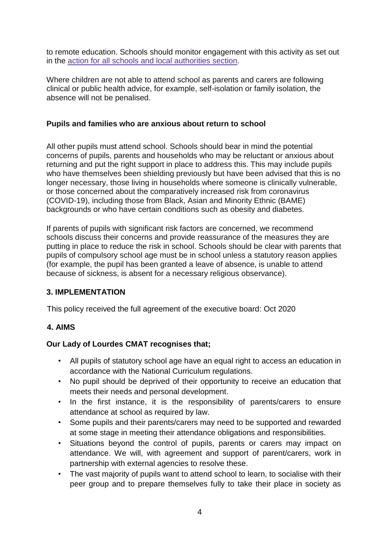to remote education. Schools should monitor engagement with this activity as set out in the action for all schools and local [authorities](https://www.gov.uk/government/publications/actions-for-schools-during-the-coronavirus-outbreak/guidance-for-full-opening-schools#actions) section.

Where children are not able to attend school as parents and carers are following clinical or public health advice, for example, self-isolation or family isolation, the absence will not be penalised.

#### **Pupils and families who are anxious about return to school**

All other pupils must attend school. Schools should bear in mind the potential concerns of pupils, parents and households who may be reluctant or anxious about returning and put the right support in place to address this. This may include pupils who have themselves been shielding previously but have been advised that this is no longer necessary, those living in households where someone is clinically vulnerable, or those concerned about the comparatively increased risk from coronavirus (COVID-19), including those from Black, Asian and Minority Ethnic (BAME) backgrounds or who have certain conditions such as obesity and diabetes.

If parents of pupils with significant risk factors are concerned, we recommend schools discuss their concerns and provide reassurance of the measures they are putting in place to reduce the risk in school. Schools should be clear with parents that pupils of compulsory school age must be in school unless a statutory reason applies (for example, the pupil has been granted a leave of absence, is unable to attend because of sickness, is absent for a necessary religious observance).

#### **3. IMPLEMENTATION**

This policy received the full agreement of the executive board: Oct 2020

#### **4. AIMS**

#### **Our Lady of Lourdes CMAT recognises that;**

- All pupils of statutory school age have an equal right to access an education in accordance with the National Curriculum regulations.
- No pupil should be deprived of their opportunity to receive an education that meets their needs and personal development.
- In the first instance, it is the responsibility of parents/carers to ensure attendance at school as required by law.
- Some pupils and their parents/carers may need to be supported and rewarded at some stage in meeting their attendance obligations and responsibilities.
- Situations beyond the control of pupils, parents or carers may impact on attendance. We will, with agreement and support of parent/carers, work in partnership with external agencies to resolve these.
- The vast majority of pupils want to attend school to learn, to socialise with their peer group and to prepare themselves fully to take their place in society as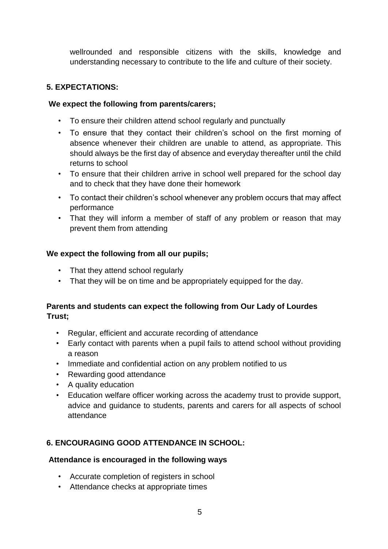wellrounded and responsible citizens with the skills, knowledge and understanding necessary to contribute to the life and culture of their society.

## **5. EXPECTATIONS:**

#### **We expect the following from parents/carers;**

- To ensure their children attend school regularly and punctually
- To ensure that they contact their children's school on the first morning of absence whenever their children are unable to attend, as appropriate. This should always be the first day of absence and everyday thereafter until the child returns to school
- To ensure that their children arrive in school well prepared for the school day and to check that they have done their homework
- To contact their children's school whenever any problem occurs that may affect performance
- That they will inform a member of staff of any problem or reason that may prevent them from attending

#### **We expect the following from all our pupils;**

- That they attend school regularly
- That they will be on time and be appropriately equipped for the day.

## **Parents and students can expect the following from Our Lady of Lourdes Trust;**

- Regular, efficient and accurate recording of attendance
- Early contact with parents when a pupil fails to attend school without providing a reason
- Immediate and confidential action on any problem notified to us
- Rewarding good attendance
- A quality education
- Education welfare officer working across the academy trust to provide support, advice and guidance to students, parents and carers for all aspects of school attendance

# **6. ENCOURAGING GOOD ATTENDANCE IN SCHOOL:**

#### **Attendance is encouraged in the following ways**

- Accurate completion of registers in school
- Attendance checks at appropriate times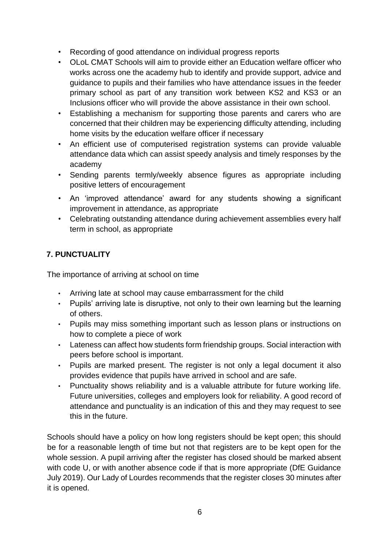- Recording of good attendance on individual progress reports
- OLoL CMAT Schools will aim to provide either an Education welfare officer who works across one the academy hub to identify and provide support, advice and guidance to pupils and their families who have attendance issues in the feeder primary school as part of any transition work between KS2 and KS3 or an Inclusions officer who will provide the above assistance in their own school.
- Establishing a mechanism for supporting those parents and carers who are concerned that their children may be experiencing difficulty attending, including home visits by the education welfare officer if necessary
- An efficient use of computerised registration systems can provide valuable attendance data which can assist speedy analysis and timely responses by the academy
- Sending parents termly/weekly absence figures as appropriate including positive letters of encouragement
- An 'improved attendance' award for any students showing a significant improvement in attendance, as appropriate
- Celebrating outstanding attendance during achievement assemblies every half term in school, as appropriate

# **7. PUNCTUALITY**

The importance of arriving at school on time

- Arriving late at school may cause embarrassment for the child
- Pupils' arriving late is disruptive, not only to their own learning but the learning of others.
- Pupils may miss something important such as lesson plans or instructions on how to complete a piece of work
- Lateness can affect how students form friendship groups. Social interaction with peers before school is important.
- Pupils are marked present. The register is not only a legal document it also provides evidence that pupils have arrived in school and are safe.
- Punctuality shows reliability and is a valuable attribute for future working life. Future universities, colleges and employers look for reliability. A good record of [attendance](http://www.essex.gov.uk/Education-Schools/Schools/Attending-School/Pages/Attending-School.aspx) [an](http://www.essex.gov.uk/Education-Schools/Schools/Attending-School/Pages/Attending-School.aspx)d punctuality is an indication of this and they may request to see this in the future.

Schools should have a policy on how long registers should be kept open; this should be for a reasonable length of time but not that registers are to be kept open for the whole session. A pupil arriving after the register has closed should be marked absent with code U, or with another absence code if that is more appropriate (DfE Guidance July 2019). Our Lady of Lourdes recommends that the register closes 30 minutes after it is opened.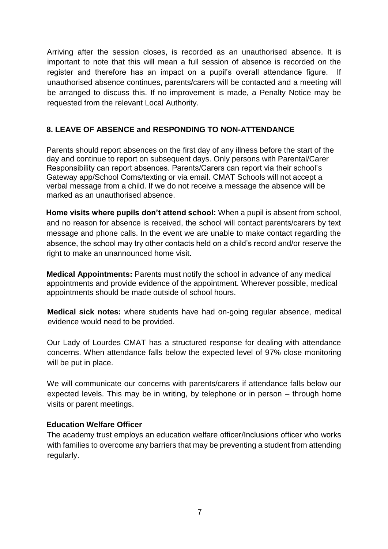Arriving after the session closes, is recorded as an unauthorised absence. It is important to note that this will mean a full session of absence is recorded on the register and therefore has an impact on a pupil's overall attendance figure. If unauthorised absence continues, parents/carers will be contacted and a meeting will be arranged to discuss this. If no improvement is made, a Penalty Notice may be requested from the relevant Local Authority.

## **8. LEAVE OF ABSENCE and RESPONDING TO NON-ATTENDANCE**

Parents should report absences on the first day of any illness before the start of the day and continue to report on subsequent days. Only persons with Parental/Carer Responsibility can report absences. Parents/Carers can report via their school's Gateway app/School Coms/texting or via email. CMAT Schools will not accept a verbal message from a child. If we do not receive a message the absence will be marked as an unauthorised absence.

**Home visits where pupils don't attend school:** When a pupil is absent from school, and no reason for absence is received, the school will contact parents/carers by text message and phone calls. In the event we are unable to make contact regarding the absence, the school may try other contacts held on a child's record and/or reserve the right to make an unannounced home visit.

**Medical Appointments:** Parents must notify the school in advance of any medical appointments and provide evidence of the appointment. Wherever possible, medical appointments should be made outside of school hours.

**Medical sick notes:** where students have had on-going regular absence, medical evidence would need to be provided.

Our Lady of Lourdes CMAT has a structured response for dealing with attendance concerns. When attendance falls below the expected level of 97% close monitoring will be put in place.

We will communicate our concerns with parents/carers if attendance falls below our expected levels. This may be in writing, by telephone or in person – through home visits or parent meetings.

#### **Education Welfare Officer**

The academy trust employs an education welfare officer/Inclusions officer who works with families to overcome any barriers that may be preventing a student from attending regularly.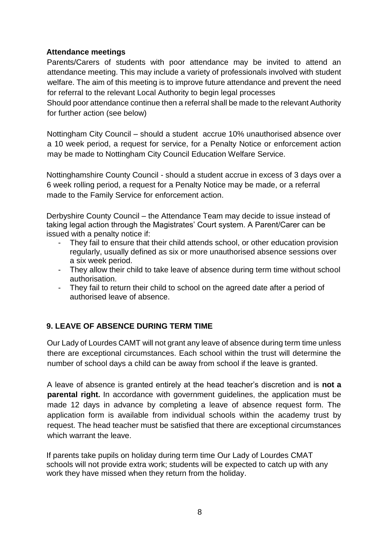#### **Attendance meetings**

Parents/Carers of students with poor attendance may be invited to attend an attendance meeting. This may include a variety of professionals involved with student welfare. The aim of this meeting is to improve future attendance and prevent the need for referral to the relevant Local Authority to begin legal processes

Should poor attendance continue then a referral shall be made to the relevant Authority for further action (see below)

Nottingham City Council – should a student accrue 10% unauthorised absence over a 10 week period, a request for service, for a Penalty Notice or enforcement action may be made to Nottingham City Council Education Welfare Service.

Nottinghamshire County Council - should a student accrue in excess of 3 days over a 6 week rolling period, a request for a Penalty Notice may be made, or a referral made to the Family Service for enforcement action.

Derbyshire County Council – the Attendance Team may decide to issue instead of taking legal action through the Magistrates' Court system. A Parent/Carer can be issued with a penalty notice if:

- They fail to ensure that their child attends school, or other education provision regularly, usually defined as six or more unauthorised absence sessions over a six week period.
- They allow their child to take leave of absence during term time without school authorisation.
- They fail to return their child to school on the agreed date after a period of authorised leave of absence.

# **9. LEAVE OF ABSENCE DURING TERM TIME**

Our Lady of Lourdes CAMT will not grant any leave of absence during term time unless there are exceptional circumstances. Each school within the trust will determine the number of school days a child can be away from school if the leave is granted.

A leave of absence is granted entirely at the head teacher's discretion and is **not a parental right.** In accordance with government guidelines, the application must be made 12 days in advance by completing a leave of absence request form. The application form is available from individual schools within the academy trust by request. The head teacher must be satisfied that there are exceptional circumstances which warrant the leave.

If parents take pupils on holiday during term time Our Lady of Lourdes CMAT schools will not provide extra work; students will be expected to catch up with any work they have missed when they return from the holiday.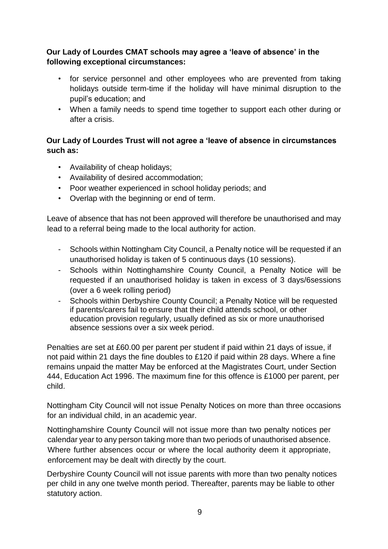## **Our Lady of Lourdes CMAT schools may agree a 'leave of absence' in the following exceptional circumstances:**

- for service personnel and other employees who are prevented from taking holidays outside term-time if the holiday will have minimal disruption to the pupil's education; and
- When a family needs to spend time together to support each other during or after a crisis.

## **Our Lady of Lourdes Trust will not agree a 'leave of absence in circumstances such as:**

- Availability of cheap holidays;
- Availability of desired accommodation;
- Poor weather experienced in school holiday periods; and
- Overlap with the beginning or end of term.

Leave of absence that has not been approved will therefore be unauthorised and may lead to a referral being made to the local authority for action.

- Schools within Nottingham City Council, a Penalty notice will be requested if an unauthorised holiday is taken of 5 continuous days (10 sessions).
- Schools within Nottinghamshire County Council, a Penalty Notice will be requested if an unauthorised holiday is taken in excess of 3 days/6sessions (over a 6 week rolling period)
- Schools within Derbyshire County Council; a Penalty Notice will be requested if parents/carers fail to ensure that their child attends school, or other education provision regularly, usually defined as six or more unauthorised absence sessions over a six week period.

Penalties are set at £60.00 per parent per student if paid within 21 days of issue, if not paid within 21 days the fine doubles to £120 if paid within 28 days. Where a fine remains unpaid the matter May be enforced at the Magistrates Court, under Section 444, Education Act 1996. The maximum fine for this offence is £1000 per parent, per child.

Nottingham City Council will not issue Penalty Notices on more than three occasions for an individual child, in an academic year.

Nottinghamshire County Council will not issue more than two penalty notices per calendar year to any person taking more than two periods of unauthorised absence. Where further absences occur or where the local authority deem it appropriate, enforcement may be dealt with directly by the court.

Derbyshire County Council will not issue parents with more than two penalty notices per child in any one twelve month period. Thereafter, parents may be liable to other statutory action.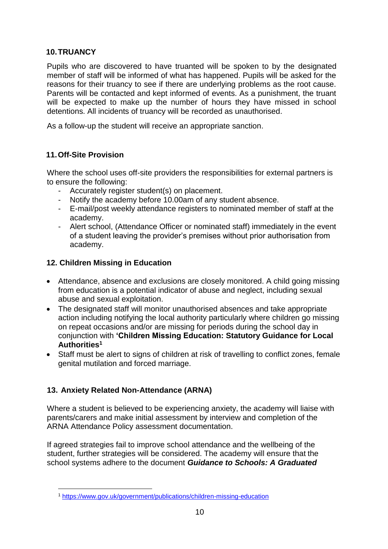## **10.TRUANCY**

Pupils who are discovered to have truanted will be spoken to by the designated member of staff will be informed of what has happened. Pupils will be asked for the reasons for their truancy to see if there are underlying problems as the root cause. Parents will be contacted and kept informed of events. As a punishment, the truant will be expected to make up the number of hours they have missed in school detentions. All incidents of truancy will be recorded as unauthorised.

As a follow-up the student will receive an appropriate sanction.

#### **11.Off-Site Provision**

Where the school uses off-site providers the responsibilities for external partners is to ensure the following:

- Accurately register student(s) on placement.
- Notify the academy before 10.00am of any student absence.
- E-mail/post weekly attendance registers to nominated member of staff at the academy.
- Alert school, (Attendance Officer or nominated staff) immediately in the event of a student leaving the provider's premises without prior authorisation from academy.

#### **12. Children Missing in Education**

- Attendance, absence and exclusions are closely monitored. A child going missing from education is a potential indicator of abuse and neglect, including sexual abuse and sexual exploitation.
- The designated staff will monitor unauthorised absences and take appropriate action including notifying the local authority particularly where children go missing on repeat occasions and/or are missing for periods during the school day in conjunction with **'Children Missing Education: Statutory Guidance for Local Authorities<sup>1</sup>**
- Staff must be alert to signs of children at risk of travelling to conflict zones, female genital mutilation and forced marriage.

# **13. Anxiety Related Non-Attendance (ARNA)**

1

Where a student is believed to be experiencing anxiety, the academy will liaise with parents/carers and make initial assessment by interview and completion of the ARNA Attendance Policy assessment documentation.

If agreed strategies fail to improve school attendance and the wellbeing of the student, further strategies will be considered. The academy will ensure that the school systems adhere to the document *Guidance to Schools: A Graduated* 

<sup>1</sup> <https://www.gov.uk/government/publications/children-missing-education>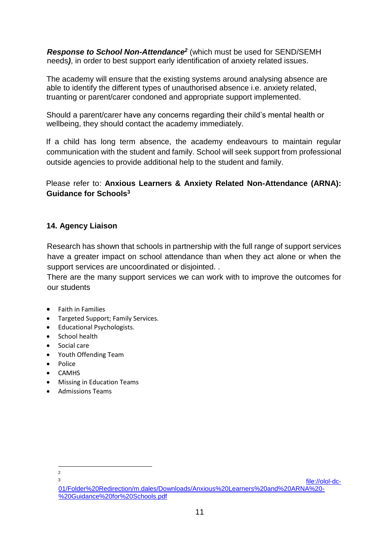*Response to School Non-Attendance<sup>2</sup>* (which must be used for SEND/SEMH needs*)*, in order to best support early identification of anxiety related issues.

The academy will ensure that the existing systems around analysing absence are able to identify the different types of unauthorised absence i.e. anxiety related, truanting or parent/carer condoned and appropriate support implemented.

Should a parent/carer have any concerns regarding their child's mental health or wellbeing, they should contact the academy immediately.

If a child has long term absence, the academy endeavours to maintain regular communication with the student and family. School will seek support from professional outside agencies to provide additional help to the student and family.

Please refer to: **Anxious Learners & Anxiety Related Non-Attendance (ARNA): Guidance for Schools<sup>3</sup>**

## **14. Agency Liaison**

Research has shown that schools in partnership with the full range of support services have a greater impact on school attendance than when they act alone or when the support services are uncoordinated or disjointed. .

There are the many support services we can work with to improve the outcomes for our students

- Faith in Families
- Targeted Support; Family Services.
- Educational Psychologists.
- School health
- Social care
- Youth Offending Team
- Police
- CAMHS
- Missing in Education Teams
- Admissions Teams

<sup>1</sup> 2 3

[file://olol-dc-](file://///olol-dc-01/Folder%20Redirection/m.dales/Downloads/Anxious%20Learners%20and%20ARNA%20-%20Guidance%20for%20Schools.pdf)[01/Folder%20Redirection/m.dales/Downloads/Anxious%20Learners%20and%20ARNA%20-](file://///olol-dc-01/Folder%20Redirection/m.dales/Downloads/Anxious%20Learners%20and%20ARNA%20-%20Guidance%20for%20Schools.pdf) [%20Guidance%20for%20Schools.pdf](file://///olol-dc-01/Folder%20Redirection/m.dales/Downloads/Anxious%20Learners%20and%20ARNA%20-%20Guidance%20for%20Schools.pdf)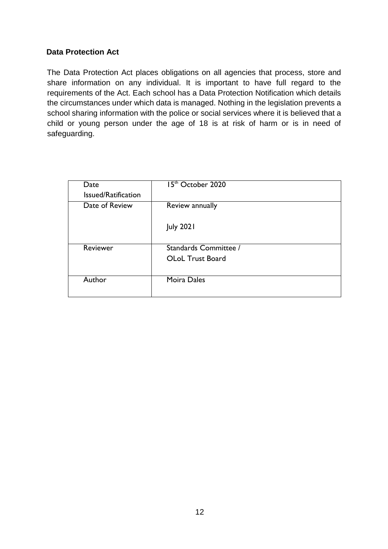#### **Data Protection Act**

The Data Protection Act places obligations on all agencies that process, store and share information on any individual. It is important to have full regard to the requirements of the Act. Each school has a Data Protection Notification which details the circumstances under which data is managed. Nothing in the legislation prevents a school sharing information with the police or social services where it is believed that a child or young person under the age of 18 is at risk of harm or is in need of safeguarding.

| Date                | 15 <sup>th</sup> October 2020 |
|---------------------|-------------------------------|
| Issued/Ratification |                               |
| Date of Review      | Review annually               |
|                     | <b>July 2021</b>              |
| Reviewer            | Standards Committee /         |
|                     | <b>OLoL Trust Board</b>       |
| Author              | Moira Dales                   |